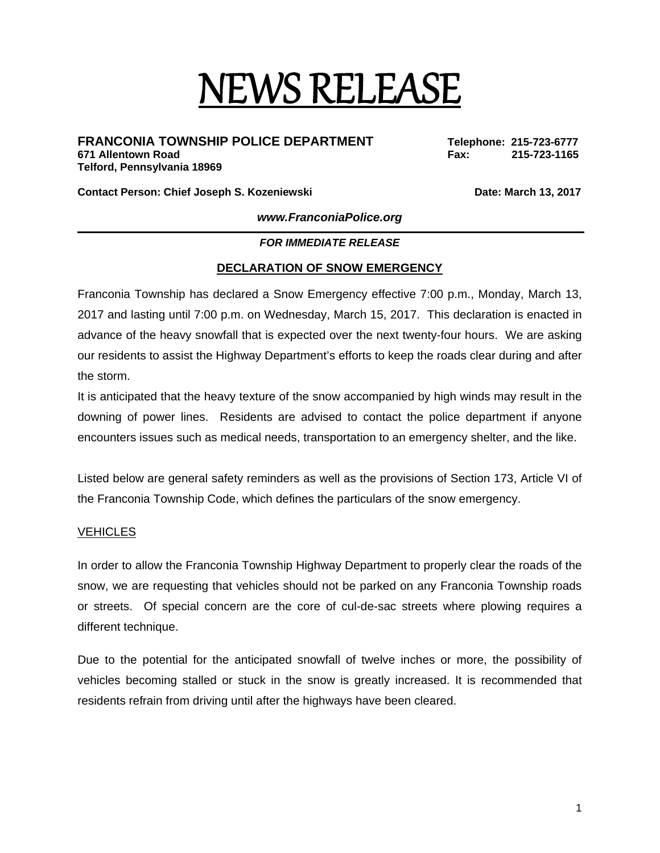# NEWS RELEASE

## **FRANCONIA TOWNSHIP POLICE DEPARTMENT Telephone: 215-723-6777**

**Telford, Pennsylvania 18969** 

**Contact Person: Chief Joseph S. Kozeniewski Chief Contact Person: Chief Joseph S. Kozeniewski Chief Contact Person: Date: March 13, 2017** 

**671 Allentown Road Fax: 215-723-1165** 

*www.FranconiaPolice.org* 

*FOR IMMEDIATE RELEASE* 

## **DECLARATION OF SNOW EMERGENCY**

Franconia Township has declared a Snow Emergency effective 7:00 p.m., Monday, March 13, 2017 and lasting until 7:00 p.m. on Wednesday, March 15, 2017. This declaration is enacted in advance of the heavy snowfall that is expected over the next twenty-four hours. We are asking our residents to assist the Highway Department's efforts to keep the roads clear during and after the storm.

It is anticipated that the heavy texture of the snow accompanied by high winds may result in the downing of power lines. Residents are advised to contact the police department if anyone encounters issues such as medical needs, transportation to an emergency shelter, and the like.

Listed below are general safety reminders as well as the provisions of Section 173, Article VI of the Franconia Township Code, which defines the particulars of the snow emergency.

#### **VEHICLES**

In order to allow the Franconia Township Highway Department to properly clear the roads of the snow, we are requesting that vehicles should not be parked on any Franconia Township roads or streets. Of special concern are the core of cul-de-sac streets where plowing requires a different technique.

Due to the potential for the anticipated snowfall of twelve inches or more, the possibility of vehicles becoming stalled or stuck in the snow is greatly increased. It is recommended that residents refrain from driving until after the highways have been cleared.